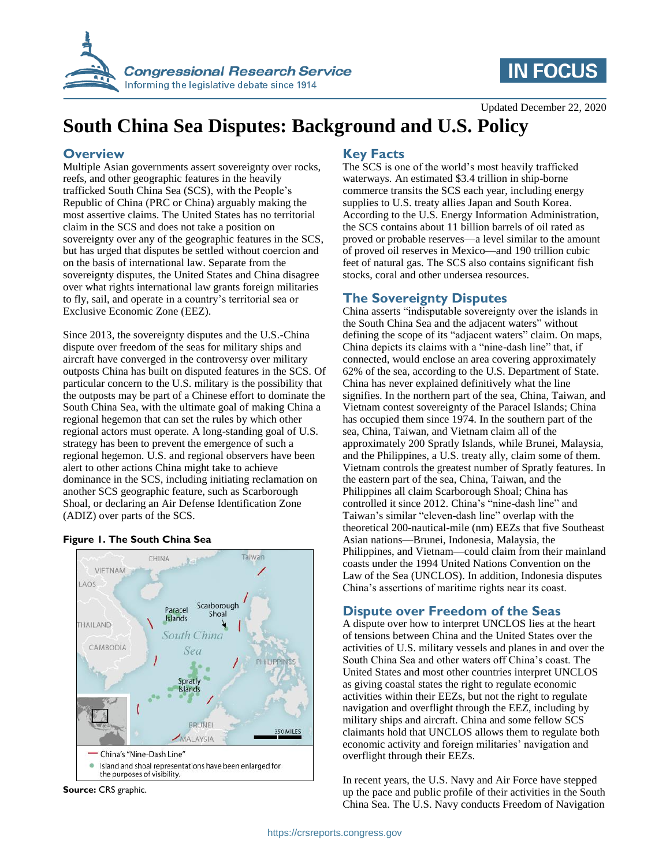

# **IN FOCUS**

Updated December 22, 2020

# **South China Sea Disputes: Background and U.S. Policy**

#### **Overview**

Multiple Asian governments assert sovereignty over rocks, reefs, and other geographic features in the heavily trafficked South China Sea (SCS), with the People's Republic of China (PRC or China) arguably making the most assertive claims. The United States has no territorial claim in the SCS and does not take a position on sovereignty over any of the geographic features in the SCS, but has urged that disputes be settled without coercion and on the basis of international law. Separate from the sovereignty disputes, the United States and China disagree over what rights international law grants foreign militaries to fly, sail, and operate in a country's territorial sea or Exclusive Economic Zone (EEZ).

Since 2013, the sovereignty disputes and the U.S.-China dispute over freedom of the seas for military ships and aircraft have converged in the controversy over military outposts China has built on disputed features in the SCS. Of particular concern to the U.S. military is the possibility that the outposts may be part of a Chinese effort to dominate the South China Sea, with the ultimate goal of making China a regional hegemon that can set the rules by which other regional actors must operate. A long-standing goal of U.S. strategy has been to prevent the emergence of such a regional hegemon. U.S. and regional observers have been alert to other actions China might take to achieve dominance in the SCS, including initiating reclamation on another SCS geographic feature, such as Scarborough Shoal, or declaring an Air Defense Identification Zone (ADIZ) over parts of the SCS.

#### **Figure 1. The South China Sea**



**Source:** CRS graphic.

### **Key Facts**

The SCS is one of the world's most heavily trafficked waterways. An estimated \$3.4 trillion in ship-borne commerce transits the SCS each year, including energy supplies to U.S. treaty allies Japan and South Korea. According to the U.S. Energy Information Administration, the SCS contains about 11 billion barrels of oil rated as proved or probable reserves—a level similar to the amount of proved oil reserves in Mexico—and 190 trillion cubic feet of natural gas. The SCS also contains significant fish stocks, coral and other undersea resources.

#### **The Sovereignty Disputes**

China asserts "indisputable sovereignty over the islands in the South China Sea and the adjacent waters" without defining the scope of its "adjacent waters" claim. On maps, China depicts its claims with a "nine-dash line" that, if connected, would enclose an area covering approximately 62% of the sea, according to the U.S. Department of State. China has never explained definitively what the line signifies. In the northern part of the sea, China, Taiwan, and Vietnam contest sovereignty of the Paracel Islands; China has occupied them since 1974. In the southern part of the sea, China, Taiwan, and Vietnam claim all of the approximately 200 Spratly Islands, while Brunei, Malaysia, and the Philippines, a U.S. treaty ally, claim some of them. Vietnam controls the greatest number of Spratly features. In the eastern part of the sea, China, Taiwan, and the Philippines all claim Scarborough Shoal; China has controlled it since 2012. China's "nine-dash line" and Taiwan's similar "eleven-dash line" overlap with the theoretical 200-nautical-mile (nm) EEZs that five Southeast Asian nations—Brunei, Indonesia, Malaysia, the Philippines, and Vietnam—could claim from their mainland coasts under the 1994 United Nations Convention on the Law of the Sea (UNCLOS). In addition, Indonesia disputes China's assertions of maritime rights near its coast.

#### **Dispute over Freedom of the Seas**

A dispute over how to interpret UNCLOS lies at the heart of tensions between China and the United States over the activities of U.S. military vessels and planes in and over the South China Sea and other waters off China's coast. The United States and most other countries interpret UNCLOS as giving coastal states the right to regulate economic activities within their EEZs, but not the right to regulate navigation and overflight through the EEZ, including by military ships and aircraft. China and some fellow SCS claimants hold that UNCLOS allows them to regulate both economic activity and foreign militaries' navigation and overflight through their EEZs.

In recent years, the U.S. Navy and Air Force have stepped up the pace and public profile of their activities in the South China Sea. The U.S. Navy conducts Freedom of Navigation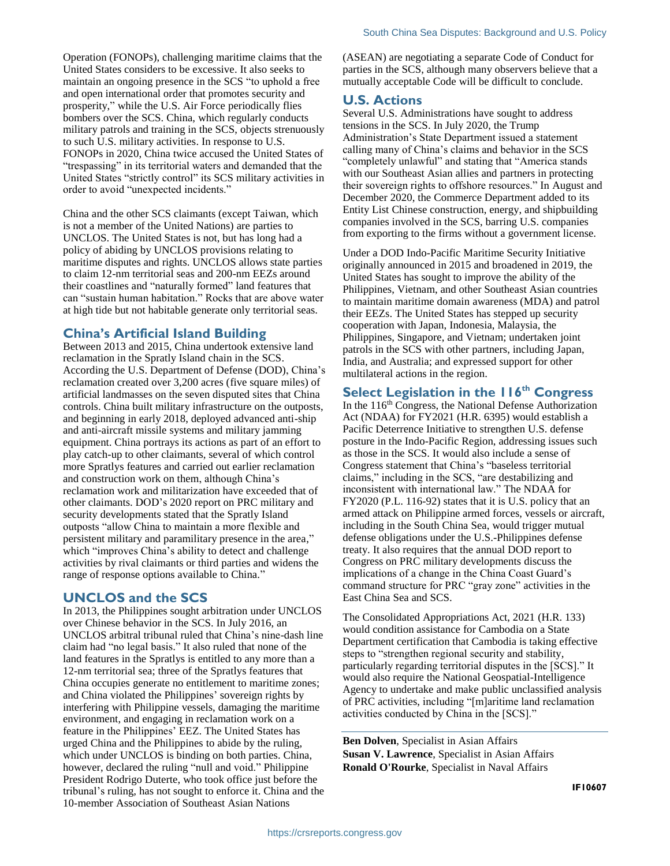Operation (FONOPs), challenging maritime claims that the United States considers to be excessive. It also seeks to maintain an ongoing presence in the SCS "to uphold a free and open international order that promotes security and prosperity," while the U.S. Air Force periodically flies bombers over the SCS. China, which regularly conducts military patrols and training in the SCS, objects strenuously to such U.S. military activities. In response to U.S. FONOPs in 2020, China twice accused the United States of "trespassing" in its territorial waters and demanded that the United States "strictly control" its SCS military activities in order to avoid "unexpected incidents."

China and the other SCS claimants (except Taiwan, which is not a member of the United Nations) are parties to UNCLOS. The United States is not, but has long had a policy of abiding by UNCLOS provisions relating to maritime disputes and rights. UNCLOS allows state parties to claim 12-nm territorial seas and 200-nm EEZs around their coastlines and "naturally formed" land features that can "sustain human habitation." Rocks that are above water at high tide but not habitable generate only territorial seas.

#### **China's Artificial Island Building**

Between 2013 and 2015, China undertook extensive land reclamation in the Spratly Island chain in the SCS. According the U.S. Department of Defense (DOD), China's reclamation created over 3,200 acres (five square miles) of artificial landmasses on the seven disputed sites that China controls. China built military infrastructure on the outposts, and beginning in early 2018, deployed advanced anti-ship and anti-aircraft missile systems and military jamming equipment. China portrays its actions as part of an effort to play catch-up to other claimants, several of which control more Spratlys features and carried out earlier reclamation and construction work on them, although China's reclamation work and militarization have exceeded that of other claimants. DOD's 2020 report on PRC military and security developments stated that the Spratly Island outposts "allow China to maintain a more flexible and persistent military and paramilitary presence in the area," which "improves China's ability to detect and challenge activities by rival claimants or third parties and widens the range of response options available to China."

#### **UNCLOS and the SCS**

In 2013, the Philippines sought arbitration under UNCLOS over Chinese behavior in the SCS. In July 2016, an UNCLOS arbitral tribunal ruled that China's nine-dash line claim had "no legal basis." It also ruled that none of the land features in the Spratlys is entitled to any more than a 12-nm territorial sea; three of the Spratlys features that China occupies generate no entitlement to maritime zones; and China violated the Philippines' sovereign rights by interfering with Philippine vessels, damaging the maritime environment, and engaging in reclamation work on a feature in the Philippines' EEZ. The United States has urged China and the Philippines to abide by the ruling, which under UNCLOS is binding on both parties. China, however, declared the ruling "null and void." Philippine President Rodrigo Duterte, who took office just before the tribunal's ruling, has not sought to enforce it. China and the 10-member Association of Southeast Asian Nations

(ASEAN) are negotiating a separate Code of Conduct for parties in the SCS, although many observers believe that a mutually acceptable Code will be difficult to conclude.

#### **U.S. Actions**

Several U.S. Administrations have sought to address tensions in the SCS. In July 2020, the Trump Administration's State Department issued a statement calling many of China's claims and behavior in the SCS "completely unlawful" and stating that "America stands with our Southeast Asian allies and partners in protecting their sovereign rights to offshore resources." In August and December 2020, the Commerce Department added to its Entity List Chinese construction, energy, and shipbuilding companies involved in the SCS, barring U.S. companies from exporting to the firms without a government license.

Under a DOD Indo-Pacific Maritime Security Initiative originally announced in 2015 and broadened in 2019, the United States has sought to improve the ability of the Philippines, Vietnam, and other Southeast Asian countries to maintain maritime domain awareness (MDA) and patrol their EEZs. The United States has stepped up security cooperation with Japan, Indonesia, Malaysia, the Philippines, Singapore, and Vietnam; undertaken joint patrols in the SCS with other partners, including Japan, India, and Australia; and expressed support for other multilateral actions in the region.

### **Select Legislation in the 116 th Congress**

In the 116<sup>th</sup> Congress, the National Defense Authorization Act (NDAA) for FY2021 (H.R. 6395) would establish a Pacific Deterrence Initiative to strengthen U.S. defense posture in the Indo-Pacific Region, addressing issues such as those in the SCS. It would also include a sense of Congress statement that China's "baseless territorial claims," including in the SCS, "are destabilizing and inconsistent with international law." The NDAA for FY2020 (P.L. 116-92) states that it is U.S. policy that an armed attack on Philippine armed forces, vessels or aircraft, including in the South China Sea, would trigger mutual defense obligations under the U.S.-Philippines defense treaty. It also requires that the annual DOD report to Congress on PRC military developments discuss the implications of a change in the China Coast Guard's command structure for PRC "gray zone" activities in the East China Sea and SCS.

The Consolidated Appropriations Act, 2021 (H.R. 133) would condition assistance for Cambodia on a State Department certification that Cambodia is taking effective steps to "strengthen regional security and stability, particularly regarding territorial disputes in the [SCS]." It would also require the National Geospatial-Intelligence Agency to undertake and make public unclassified analysis of PRC activities, including "[m]aritime land reclamation activities conducted by China in the [SCS]."

**Ben Dolven**, Specialist in Asian Affairs **Susan V. Lawrence**, Specialist in Asian Affairs **Ronald O'Rourke**, Specialist in Naval Affairs